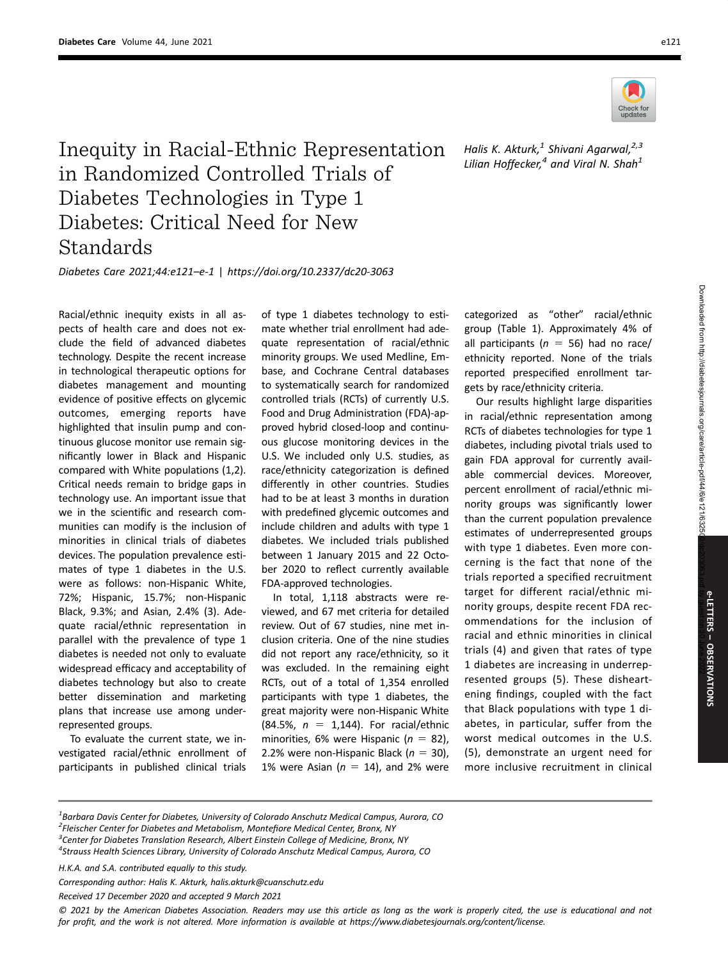

Inequity in Racial-Ethnic Representation in Randomized Controlled Trials of Diabetes Technologies in Type 1 Diabetes: Critical Need for New Standards

Diabetes Care 2021;44:e121–e-1 | https://doi.org/10.2337/dc20-3063

Racial/ethnic inequity exists in all aspects of health care and does not exclude the field of advanced diabetes technology. Despite the recent increase in technological therapeutic options for diabetes management and mounting evidence of positive effects on glycemic outcomes, emerging reports have highlighted that insulin pump and continuous glucose monitor use remain significantly lower in Black and Hispanic compared with White populations (1,2). Critical needs remain to bridge gaps in technology use. An important issue that we in the scientific and research communities can modify is the inclusion of minorities in clinical trials of diabetes devices. The population prevalence estimates of type 1 diabetes in the U.S. were as follows: non-Hispanic White, 72%; Hispanic, 15.7%; non-Hispanic Black, 9.3%; and Asian, 2.4% (3). Adequate racial/ethnic representation in parallel with the prevalence of type 1 diabetes is needed not only to evaluate widespread efficacy and acceptability of diabetes technology but also to create better dissemination and marketing plans that increase use among underrepresented groups.

To evaluate the current state, we investigated racial/ethnic enrollment of participants in published clinical trials

of type 1 diabetes technology to estimate whether trial enrollment had adequate representation of racial/ethnic minority groups. We used Medline, Embase, and Cochrane Central databases to systematically search for randomized controlled trials (RCTs) of currently U.S. Food and Drug Administration (FDA)-approved hybrid closed-loop and continuous glucose monitoring devices in the U.S. We included only U.S. studies, as race/ethnicity categorization is defined differently in other countries. Studies had to be at least 3 months in duration with predefined glycemic outcomes and include children and adults with type 1 diabetes. We included trials published between 1 January 2015 and 22 October 2020 to reflect currently available FDA-approved technologies.

In total, 1,118 abstracts were reviewed, and 67 met criteria for detailed review. Out of 67 studies, nine met inclusion criteria. One of the nine studies did not report any race/ethnicity, so it was excluded. In the remaining eight RCTs, out of a total of 1,354 enrolled participants with type 1 diabetes, the great majority were non-Hispanic White (84.5%,  $n = 1,144$ ). For racial/ethnic minorities, 6% were Hispanic ( $n = 82$ ), 2.2% were non-Hispanic Black ( $n = 30$ ), 1% were Asian ( $n = 14$ ), and 2% were

Halis K. Akturk, $^1$  Shivani Agarwal, $^{2,3}$ Lilian Hoffecker, $4$  and Viral N. Shah $1$ 

categorized as "other" racial/ethnic group (Table 1). Approximately 4% of all participants ( $n = 56$ ) had no race/ ethnicity reported. None of the trials reported prespecified enrollment targets by race/ethnicity criteria.

Our results highlight large disparities in racial/ethnic representation among RCTs of diabetes technologies for type 1 diabetes, including pivotal trials used to gain FDA approval for currently available commercial devices. Moreover, percent enrollment of racial/ethnic minority groups was significantly lower than the current population prevalence estimates of underrepresented groups with type 1 diabetes. Even more concerning is the fact that none of the trials reported a specified recruitment target for different racial/ethnic minority groups, despite recent FDA recommendations for the inclusion of racial and ethnic minorities in clinical trials (4) and given that rates of type 1 diabetes are increasing in underrepresented groups (5). These disheartening findings, coupled with the fact that Black populations with type 1 diabetes, in particular, suffer from the worst medical outcomes in the U.S. (5), demonstrate an urgent need for more inclusive recruitment in clinical

H.K.A. and S.A. contributed equally to this study.

Received 17 December 2020 and accepted 9 March 2021

© 2021 by the American Diabetes Association. Readers may use this article as long as the work is properly cited, the use is educational and not for profit, and the work is not altered. More information is available at<https://www.diabetesjournals.org/content/license>.

 $^{\rm 1}$ Barbara Davis Center for Diabetes, University of Colorado Anschutz Medical Campus, Aurora, CO <sup>2</sup> Fleischer Center for Diabetes and Metabolism, Montefiore Medical Center, Bronx, NY<br><sup>3</sup> Center for Diabetes Translation Research, Albert Finstein Collage of Medicine, Bronx

 ${}^{3}$ Center for Diabetes Translation Research, Albert Einstein College of Medicine, Bronx, NY

<sup>&</sup>lt;sup>4</sup>Strauss Health Sciences Library, University of Colorado Anschutz Medical Campus, Aurora, CO

Corresponding author: Halis K. Akturk, halis.akturk@cuanschutz.edu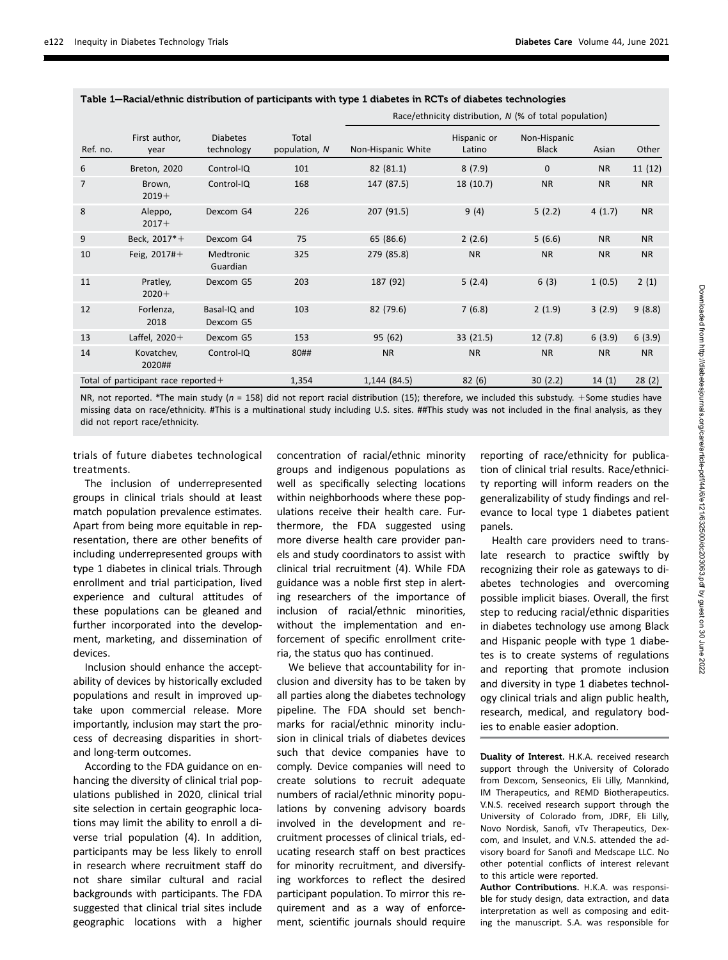|                                              |                       |                               |                        | Race/ethnicity distribution, N (% of total population) |                       |                              |           |           |
|----------------------------------------------|-----------------------|-------------------------------|------------------------|--------------------------------------------------------|-----------------------|------------------------------|-----------|-----------|
| Ref. no.                                     | First author,<br>year | <b>Diabetes</b><br>technology | Total<br>population, N | Non-Hispanic White                                     | Hispanic or<br>Latino | Non-Hispanic<br><b>Black</b> | Asian     | Other     |
| 6                                            | <b>Breton, 2020</b>   | Control-IQ                    | 101                    | 82 (81.1)                                              | 8(7.9)                | $\Omega$                     | <b>NR</b> | 11(12)    |
| $\overline{7}$                               | Brown,<br>$2019+$     | Control-IQ                    | 168                    | 147 (87.5)                                             | 18 (10.7)             | <b>NR</b>                    | <b>NR</b> | <b>NR</b> |
| 8                                            | Aleppo,<br>$2017+$    | Dexcom G4                     | 226                    | 207 (91.5)                                             | 9(4)                  | 5(2.2)                       | 4(1.7)    | <b>NR</b> |
| 9                                            | Beck, 2017*+          | Dexcom G4                     | 75                     | 65 (86.6)                                              | 2(2.6)                | 5(6.6)                       | <b>NR</b> | <b>NR</b> |
| 10                                           | Feig. $2017#+$        | Medtronic<br>Guardian         | 325                    | 279 (85.8)                                             | <b>NR</b>             | <b>NR</b>                    | <b>NR</b> | <b>NR</b> |
| 11                                           | Pratley,<br>$2020+$   | Dexcom G5                     | 203                    | 187 (92)                                               | 5(2.4)                | 6(3)                         | 1(0.5)    | 2(1)      |
| 12                                           | Forlenza,<br>2018     | Basal-IQ and<br>Dexcom G5     | 103                    | 82 (79.6)                                              | 7(6.8)                | 2(1.9)                       | 3(2.9)    | 9(8.8)    |
| 13                                           | Laffel, 2020+         | Dexcom G5                     | 153                    | 95 (62)                                                | 33(21.5)              | 12(7.8)                      | 6(3.9)    | 6(3.9)    |
| 14                                           | Kovatchev,<br>2020##  | Control-IQ                    | 80##                   | <b>NR</b>                                              | <b>NR</b>             | <b>NR</b>                    | <b>NR</b> | <b>NR</b> |
| 1,354<br>Total of participant race reported+ |                       |                               | 1,144 (84.5)           | 82(6)                                                  | 30(2.2)               | 14(1)                        | 28(2)     |           |

Table 1—Racial/ethnic distribution of participants with type 1 diabetes in RCTs of diabetes technologies

NR, not reported. \*The main study ( $n = 158$ ) did not report racial distribution (15); therefore, we included this substudy. +Some studies have missing data on race/ethnicity. #This is a multinational study including U.S. sites. ##This study was not included in the final analysis, as they did not report race/ethnicity.

trials of future diabetes technological treatments.

The inclusion of underrepresented groups in clinical trials should at least match population prevalence estimates. Apart from being more equitable in representation, there are other benefits of including underrepresented groups with type 1 diabetes in clinical trials. Through enrollment and trial participation, lived experience and cultural attitudes of these populations can be gleaned and further incorporated into the development, marketing, and dissemination of devices.

Inclusion should enhance the acceptability of devices by historically excluded populations and result in improved uptake upon commercial release. More importantly, inclusion may start the process of decreasing disparities in shortand long-term outcomes.

According to the FDA guidance on enhancing the diversity of clinical trial populations published in 2020, clinical trial site selection in certain geographic locations may limit the ability to enroll a diverse trial population (4). In addition, participants may be less likely to enroll in research where recruitment staff do not share similar cultural and racial backgrounds with participants. The FDA suggested that clinical trial sites include geographic locations with a higher

concentration of racial/ethnic minority groups and indigenous populations as well as specifically selecting locations within neighborhoods where these populations receive their health care. Furthermore, the FDA suggested using more diverse health care provider panels and study coordinators to assist with clinical trial recruitment (4). While FDA guidance was a noble first step in alerting researchers of the importance of inclusion of racial/ethnic minorities, without the implementation and enforcement of specific enrollment criteria, the status quo has continued.

We believe that accountability for inclusion and diversity has to be taken by all parties along the diabetes technology pipeline. The FDA should set benchmarks for racial/ethnic minority inclusion in clinical trials of diabetes devices such that device companies have to comply. Device companies will need to create solutions to recruit adequate numbers of racial/ethnic minority populations by convening advisory boards involved in the development and recruitment processes of clinical trials, educating research staff on best practices for minority recruitment, and diversifying workforces to reflect the desired participant population. To mirror this requirement and as a way of enforcement, scientific journals should require

reporting of race/ethnicity for publication of clinical trial results. Race/ethnicity reporting will inform readers on the generalizability of study findings and relevance to local type 1 diabetes patient panels.

Health care providers need to translate research to practice swiftly by recognizing their role as gateways to diabetes technologies and overcoming possible implicit biases. Overall, the first step to reducing racial/ethnic disparities in diabetes technology use among Black and Hispanic people with type 1 diabetes is to create systems of regulations and reporting that promote inclusion and diversity in type 1 diabetes technology clinical trials and align public health, research, medical, and regulatory bodies to enable easier adoption.

Duality of Interest. H.K.A. received research support through the University of Colorado from Dexcom, Senseonics, Eli Lilly, Mannkind, IM Therapeutics, and REMD Biotherapeutics. V.N.S. received research support through the University of Colorado from, JDRF, Eli Lilly, Novo Nordisk, Sanofi, vTv Therapeutics, Dexcom, and Insulet, and V.N.S. attended the advisory board for Sanofi and Medscape LLC. No other potential conflicts of interest relevant to this article were reported.

Author Contributions. H.K.A. was responsible for study design, data extraction, and data interpretation as well as composing and editing the manuscript. S.A. was responsible for